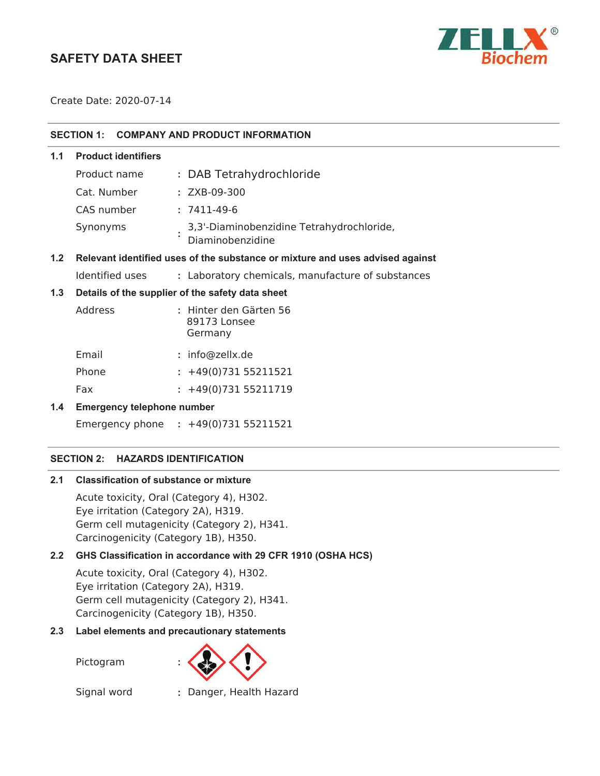# **SAFETY DATA SHEET**



Create Date: 2020-07-14

| SECTION 1: COMPANY AND PRODUCT INFORMATION |
|--------------------------------------------|

**1.1 Product identifiers**

| Product name | : DAB Tetrahydrochloride                                      |
|--------------|---------------------------------------------------------------|
| Cat. Number  | $: ZXB-09-300$                                                |
| CAS number   | : 7411-49-6                                                   |
| Synonyms     | 3,3'-Diaminobenzidine Tetrahydrochloride,<br>Diaminobenzidine |

#### **1.2 Relevant identified uses of the substance or mixture and uses advised against**

Identified uses **:** Laboratory chemicals, manufacture of substances

#### **1.3 Details of the supplier of the safety data sheet**

| Address | : Hinter den Gärten 56<br>89173 Lonsee<br>Germany |
|---------|---------------------------------------------------|
| Email   | $:$ info@zellx.de                                 |

| Phone | $: +49(0)73155211521$ |  |
|-------|-----------------------|--|

Fax : +49(0)731 55211719

## **1.4 Emergency telephone number**

Emergency phone **:** 

## **SECTION 2: HAZARDS IDENTIFICATION**

#### **2.1 Classification of substance or mixture**

Acute toxicity, Oral (Category 4), H302. Eye irritation (Category 2A), H319. Germ cell mutagenicity (Category 2), H341. Carcinogenicity (Category 1B), H350.

## **2.2 GHS Classification in accordance with 29 CFR 1910 (OSHA HCS)**

Acute toxicity, Oral (Category 4), H302. Eye irritation (Category 2A), H319. Germ cell mutagenicity (Category 2), H341. Carcinogenicity (Category 1B), H350.

## **2.3 Label elements and precautionary statements**

Pictogram **:**



Signal word **:** Danger, Health Hazard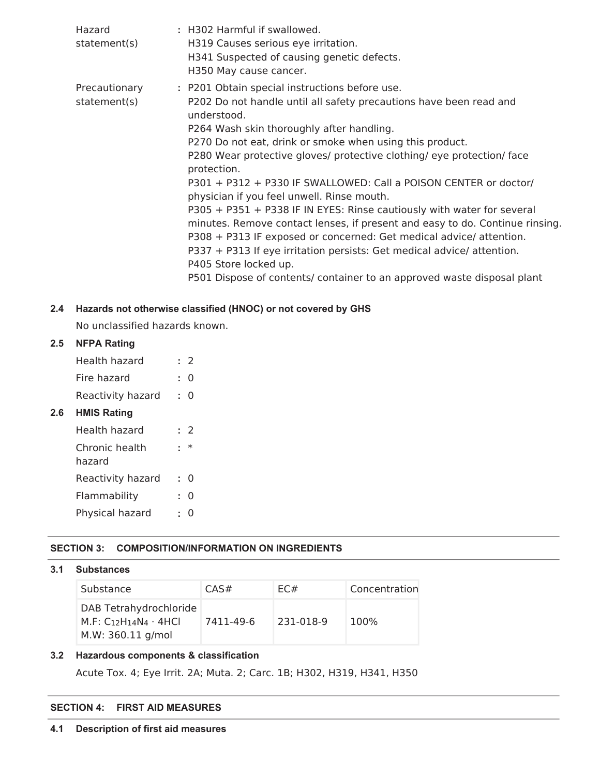| Hazard<br>statement(s)        | : H302 Harmful if swallowed.<br>H319 Causes serious eye irritation.<br>H341 Suspected of causing genetic defects.<br>H350 May cause cancer.                                                                                                                                                                                                                                                                                                                                                                                                                                                                                                                                                                                                                                                                                                                           |
|-------------------------------|-----------------------------------------------------------------------------------------------------------------------------------------------------------------------------------------------------------------------------------------------------------------------------------------------------------------------------------------------------------------------------------------------------------------------------------------------------------------------------------------------------------------------------------------------------------------------------------------------------------------------------------------------------------------------------------------------------------------------------------------------------------------------------------------------------------------------------------------------------------------------|
| Precautionary<br>statement(s) | : P201 Obtain special instructions before use.<br>P202 Do not handle until all safety precautions have been read and<br>understood.<br>P264 Wash skin thoroughly after handling.<br>P270 Do not eat, drink or smoke when using this product.<br>P280 Wear protective gloves/ protective clothing/ eye protection/ face<br>protection.<br>P301 + P312 + P330 IF SWALLOWED: Call a POISON CENTER or doctor/<br>physician if you feel unwell. Rinse mouth.<br>P305 + P351 + P338 IF IN EYES: Rinse cautiously with water for several<br>minutes. Remove contact lenses, if present and easy to do. Continue rinsing.<br>P308 + P313 IF exposed or concerned: Get medical advice/attention.<br>P337 + P313 If eye irritation persists: Get medical advice/ attention.<br>P405 Store locked up.<br>P501 Dispose of contents/ container to an approved waste disposal plant |

# **2.4 Hazards not otherwise classified (HNOC) or not covered by GHS**

No unclassified hazards known.

## **2.5 NFPA Rating**

| Health hazard     | : 2       |
|-------------------|-----------|
| Fire hazard       | $\cdot$ 0 |
| Reactivity hazard | $\cdot$ 0 |

# **2.6 HMIS Rating**

| Health hazard            | . 7      |
|--------------------------|----------|
| Chronic health<br>hazard | $\ast$   |
| Reactivity hazard        | 0        |
| Flammability             | $\Omega$ |
| Physical hazard          |          |

# **SECTION 3: COMPOSITION/INFORMATION ON INGREDIENTS**

## **3.1 Substances**

| Substance                                                                        | CAS#      | EC#       | Concentration |
|----------------------------------------------------------------------------------|-----------|-----------|---------------|
| DAB Tetrahydrochloride<br>M.F: $C_{12}H_{14}N_4 \cdot 4HCl$<br>M.W: 360.11 g/mol | 7411-49-6 | 231-018-9 | 100%          |

## **3.2 Hazardous components & classification**

Acute Tox. 4; Eye Irrit. 2A; Muta. 2; Carc. 1B; H302, H319, H341, H350

## **SECTION 4: FIRST AID MEASURES**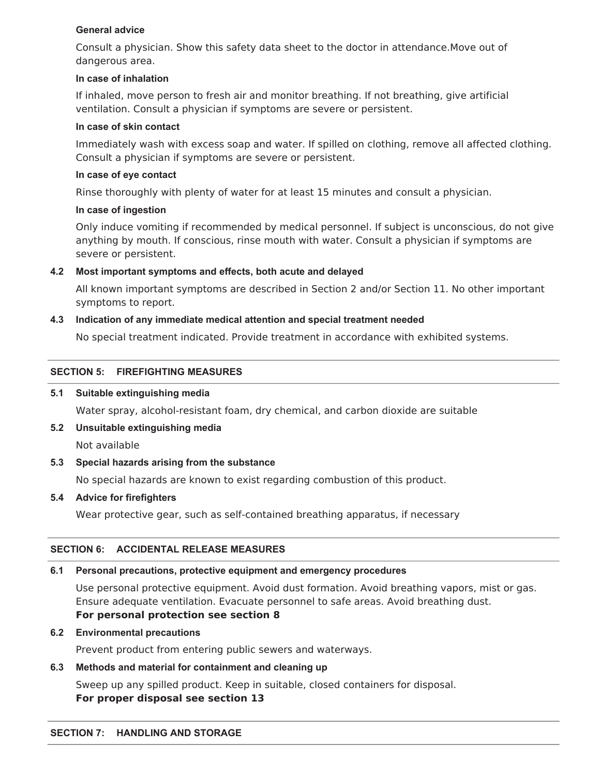## **General advice**

Consult a physician. Show this safety data sheet to the doctor in attendance.Move out of dangerous area.

#### **In case of inhalation**

If inhaled, move person to fresh air and monitor breathing. If not breathing, give artificial ventilation. Consult a physician if symptoms are severe or persistent.

#### **In case of skin contact**

Immediately wash with excess soap and water. If spilled on clothing, remove all affected clothing. Consult a physician if symptoms are severe or persistent.

#### **In case of eye contact**

Rinse thoroughly with plenty of water for at least 15 minutes and consult a physician.

#### **In case of ingestion**

Only induce vomiting if recommended by medical personnel. If subject is unconscious, do not give anything by mouth. If conscious, rinse mouth with water. Consult a physician if symptoms are severe or persistent.

## **4.2 Most important symptoms and effects, both acute and delayed**

All known important symptoms are described in Section 2 and/or Section 11. No other important symptoms to report.

## **4.3 Indication of any immediate medical attention and special treatment needed**

No special treatment indicated. Provide treatment in accordance with exhibited systems.

## **SECTION 5: FIREFIGHTING MEASURES**

## **5.1 Suitable extinguishing media**

Water spray, alcohol-resistant foam, dry chemical, and carbon dioxide are suitable

**5.2 Unsuitable extinguishing media**

Not available

## **5.3 Special hazards arising from the substance**

No special hazards are known to exist regarding combustion of this product.

## **5.4 Advice for firefighters**

Wear protective gear, such as self-contained breathing apparatus, if necessary

## **SECTION 6: ACCIDENTAL RELEASE MEASURES**

## **6.1 Personal precautions, protective equipment and emergency procedures**

Use personal protective equipment. Avoid dust formation. Avoid breathing vapors, mist or gas. Ensure adequate ventilation. Evacuate personnel to safe areas. Avoid breathing dust. **For personal protection see section 8**

## **6.2 Environmental precautions**

Prevent product from entering public sewers and waterways.

## **6.3 Methods and material for containment and cleaning up**

Sweep up any spilled product. Keep in suitable, closed containers for disposal. **For proper disposal see section 13**

#### **SECTION 7: HANDLING AND STORAGE**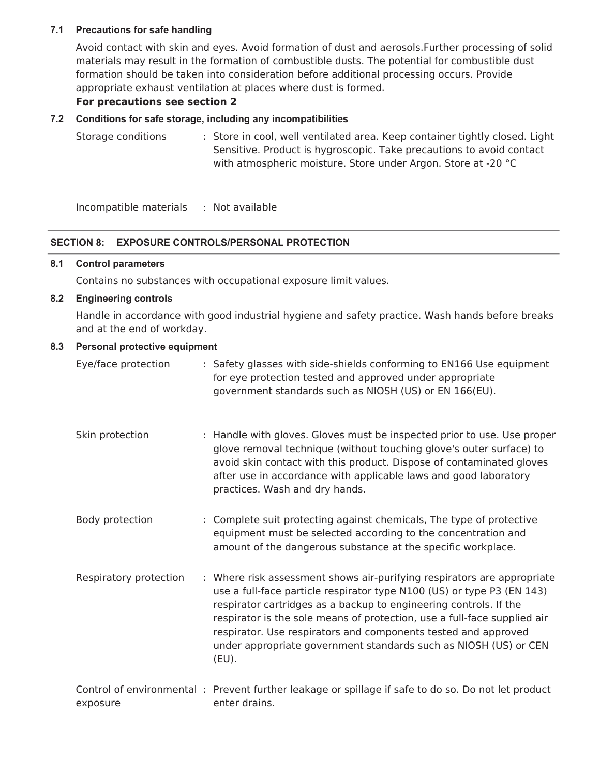## **7.1 Precautions for safe handling**

Avoid contact with skin and eyes. Avoid formation of dust and aerosols.Further processing of solid materials may result in the formation of combustible dusts. The potential for combustible dust formation should be taken into consideration before additional processing occurs. Provide appropriate exhaust ventilation at places where dust is formed.

## **For precautions see section 2**

# **7.2 Conditions for safe storage, including any incompatibilities**

Storage conditions **:** Store in cool, well ventilated area. Keep container tightly closed. Light Sensitive. Product is hygroscopic. Take precautions to avoid contact with atmospheric moisture. Store under Argon. Store at -20 °C

Incompatible materials **:** Not available

# **SECTION 8: EXPOSURE CONTROLS/PERSONAL PROTECTION**

# **8.1 Control parameters**

Contains no substances with occupational exposure limit values.

# **8.2 Engineering controls**

Handle in accordance with good industrial hygiene and safety practice. Wash hands before breaks and at the end of workday.

# **8.3 Personal protective equipment**

| Eye/face protection    | : Safety glasses with side-shields conforming to EN166 Use equipment<br>for eye protection tested and approved under appropriate<br>government standards such as NIOSH (US) or EN 166(EU).                                                                                                                                                                                                                                                           |
|------------------------|------------------------------------------------------------------------------------------------------------------------------------------------------------------------------------------------------------------------------------------------------------------------------------------------------------------------------------------------------------------------------------------------------------------------------------------------------|
| Skin protection        | : Handle with gloves. Gloves must be inspected prior to use. Use proper<br>glove removal technique (without touching glove's outer surface) to<br>avoid skin contact with this product. Dispose of contaminated gloves<br>after use in accordance with applicable laws and good laboratory<br>practices. Wash and dry hands.                                                                                                                         |
| Body protection        | : Complete suit protecting against chemicals, The type of protective<br>equipment must be selected according to the concentration and<br>amount of the dangerous substance at the specific workplace.                                                                                                                                                                                                                                                |
| Respiratory protection | : Where risk assessment shows air-purifying respirators are appropriate<br>use a full-face particle respirator type N100 (US) or type P3 (EN 143)<br>respirator cartridges as a backup to engineering controls. If the<br>respirator is the sole means of protection, use a full-face supplied air<br>respirator. Use respirators and components tested and approved<br>under appropriate government standards such as NIOSH (US) or CEN<br>$(EU)$ . |
| exposure               | Control of environmental: Prevent further leakage or spillage if safe to do so. Do not let product<br>enter drains.                                                                                                                                                                                                                                                                                                                                  |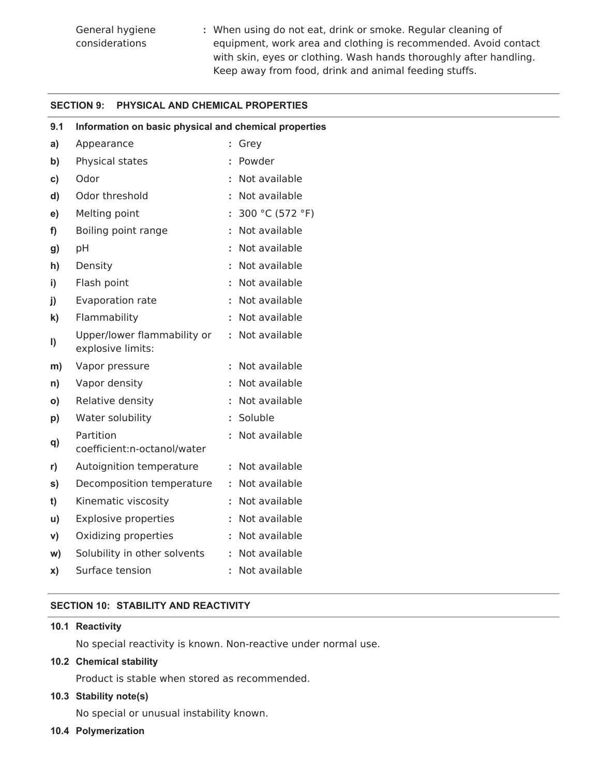**:** When using do not eat, drink or smoke. Regular cleaning of equipment, work area and clothing is recommended. Avoid contact with skin, eyes or clothing. Wash hands thoroughly after handling. Keep away from food, drink and animal feeding stuffs.

#### **SECTION 9: PHYSICAL AND CHEMICAL PROPERTIES**

| 9.1 | Information on basic physical and chemical properties |   |                 |
|-----|-------------------------------------------------------|---|-----------------|
| a)  | Appearance                                            | t | Grey            |
| b)  | Physical states                                       | t | Powder          |
| c)  | Odor                                                  |   | Not available   |
| d)  | Odor threshold                                        | t | Not available   |
| e)  | Melting point                                         |   | 300 °C (572 °F) |
| f)  | Boiling point range                                   |   | Not available   |
| g)  | pH                                                    | t | Not available   |
| h)  | Density                                               |   | Not available   |
| i)  | Flash point                                           | t | Not available   |
| j)  | Evaporation rate                                      | t | Not available   |
| k)  | Flammability                                          | t | Not available   |
| I)  | Upper/lower flammability or<br>explosive limits:      |   | Not available   |
| m)  | Vapor pressure                                        |   | Not available   |
| n)  | Vapor density                                         |   | Not available   |
| O)  | Relative density                                      |   | Not available   |
| p)  | Water solubility                                      | t | Soluble         |
| q)  | Partition<br>coefficient:n-octanol/water              |   | Not available   |
| r)  | Autoignition temperature                              | ÷ | Not available   |
| s)  | Decomposition temperature                             | t | Not available   |
| t)  | Kinematic viscosity                                   |   | Not available   |
| u)  | <b>Explosive properties</b>                           | t | Not available   |
| V)  | Oxidizing properties                                  | t | Not available   |
| w)  | Solubility in other solvents                          | t | Not available   |
| x)  | Surface tension                                       | t | Not available   |

# **SECTION 10: STABILITY AND REACTIVITY**

#### **10.1 Reactivity**

No special reactivity is known. Non-reactive under normal use.

## **10.2 Chemical stability**

Product is stable when stored as recommended.

## **10.3 Stability note(s)**

No special or unusual instability known.

**10.4 Polymerization**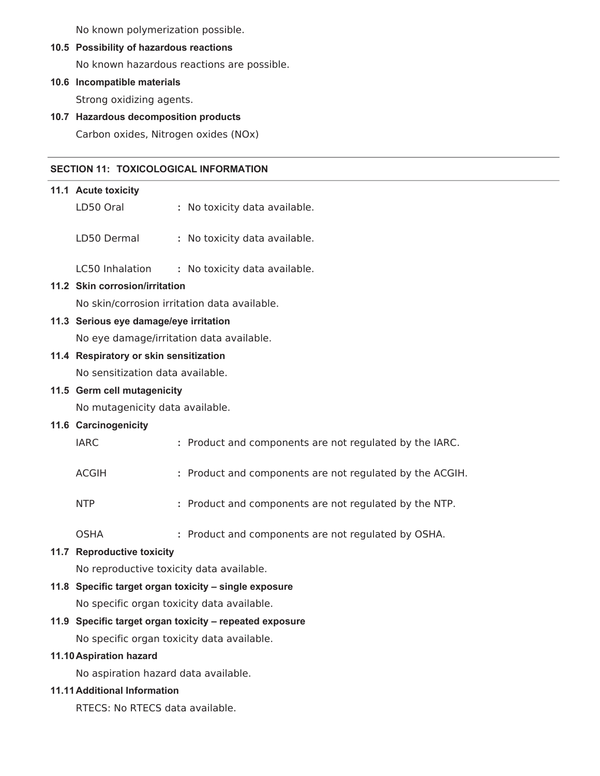No known polymerization possible.

#### **10.5 Possibility of hazardous reactions**

No known hazardous reactions are possible.

# **10.6 Incompatible materials**

Strong oxidizing agents.

# **10.7 Hazardous decomposition products**

Carbon oxides, Nitrogen oxides (NOx)

## **SECTION 11: TOXICOLOGICAL INFORMATION**

# **11.1 Acute toxicity** LD50 Oral **:** No toxicity data available. LD50 Dermal **:** No toxicity data available.

LC50 Inhalation **:** No toxicity data available.

# **11.2 Skin corrosion/irritation**

No skin/corrosion irritation data available.

## **11.3 Serious eye damage/eye irritation**

No eye damage/irritation data available.

## **11.4 Respiratory or skin sensitization**

No sensitization data available.

## **11.5 Germ cell mutagenicity**

No mutagenicity data available.

## **11.6 Carcinogenicity**

| <b>IARC</b><br>: Product and components are not regulated by the IARC. |  |
|------------------------------------------------------------------------|--|
|------------------------------------------------------------------------|--|

- ACGIH **:** Product and components are not regulated by the ACGIH.
- NTP **:** Product and components are not regulated by the NTP.
- OSHA **:** Product and components are not regulated by OSHA.

# **11.7 Reproductive toxicity**

No reproductive toxicity data available.

# **11.8 Specific target organ toxicity – single exposure** No specific organ toxicity data available.

# **11.9 Specific target organ toxicity – repeated exposure**

No specific organ toxicity data available.

## **11.10Aspiration hazard**

No aspiration hazard data available.

## **11.11Additional Information**

RTECS: No RTECS data available.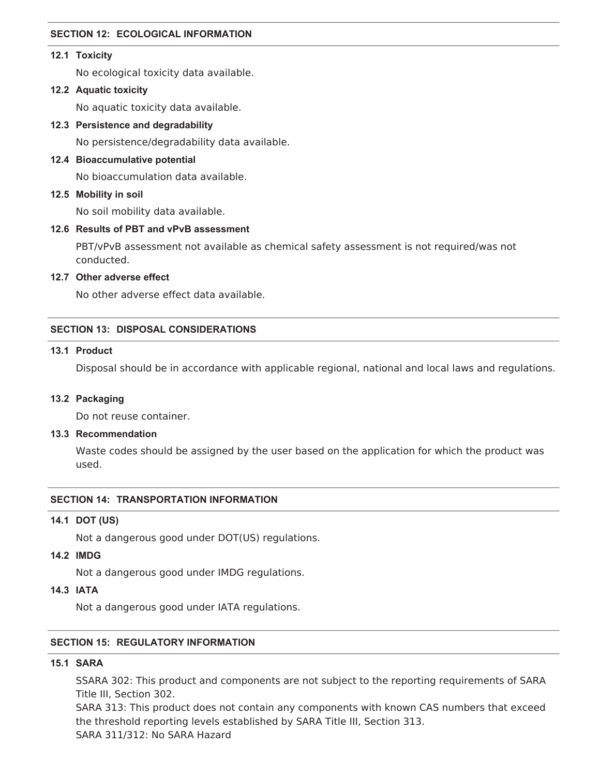#### **SECTION 12: ECOLOGICAL INFORMATION**

#### **12.1 Toxicity**

No ecological toxicity data available.

#### **12.2 Aquatic toxicity**

No aquatic toxicity data available.

**12.3 Persistence and degradability**

No persistence/degradability data available.

**12.4 Bioaccumulative potential**

No bioaccumulation data available.

#### **12.5 Mobility in soil**

No soil mobility data available.

#### **12.6 Results of PBT and vPvB assessment**

PBT/vPvB assessment not available as chemical safety assessment is not required/was not conducted.

#### **12.7 Other adverse effect**

No other adverse effect data available.

#### **SECTION 13: DISPOSAL CONSIDERATIONS**

#### **13.1 Product**

Disposal should be in accordance with applicable regional, national and local laws and regulations.

#### **13.2 Packaging**

Do not reuse container.

#### **13.3 Recommendation**

Waste codes should be assigned by the user based on the application for which the product was used.

#### **SECTION 14: TRANSPORTATION INFORMATION**

#### **14.1 DOT (US)**

Not a dangerous good under DOT(US) regulations.

## **14.2 IMDG**

Not a dangerous good under IMDG regulations.

#### **14.3 IATA**

Not a dangerous good under IATA regulations.

#### **SECTION 15: REGULATORY INFORMATION**

# **15.1 SARA**

SSARA 302: This product and components are not subject to the reporting requirements of SARA Title III, Section 302.

SARA 313: This product does not contain any components with known CAS numbers that exceed the threshold reporting levels established by SARA Title III, Section 313.

SARA 311/312: No SARA Hazard